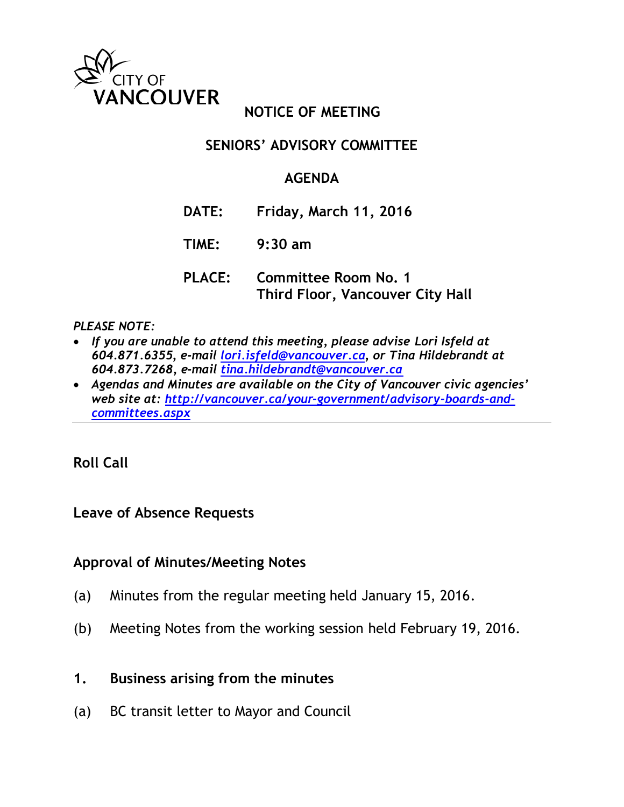

## **NOTICE OF MEETING**

### **SENIORS' ADVISORY COMMITTEE**

### **AGENDA**

- **DATE: Friday, March 11, 2016**
- **TIME: 9:30 am**
- **PLACE: Committee Room No. 1 Third Floor, Vancouver City Hall**

#### *PLEASE NOTE:*

- *If you are unable to attend this meeting, please advise Lori Isfeld at 604.871.6355, e-mail [lori.isfeld@vancouver.ca,](mailto:lori.isfeld@vancouver.ca) or Tina Hildebrandt at 604.873.7268, e-mail [tina.hildebrandt@vancouver.ca](mailto:tina.hildebrandt@vancouver.ca)*
- *Agendas and Minutes are available on the City of Vancouver civic agencies' web site at: [http://vancouver.ca/your-government/advisory-boards-and](http://vancouver.ca/your-government/advisory-boards-and-committees.aspx)[committees.aspx](http://vancouver.ca/your-government/advisory-boards-and-committees.aspx)*

#### **Roll Call**

#### **Leave of Absence Requests**

#### **Approval of Minutes/Meeting Notes**

- (a) Minutes from the regular meeting held January 15, 2016.
- (b) Meeting Notes from the working session held February 19, 2016.
- **1. Business arising from the minutes**
- (a) BC transit letter to Mayor and Council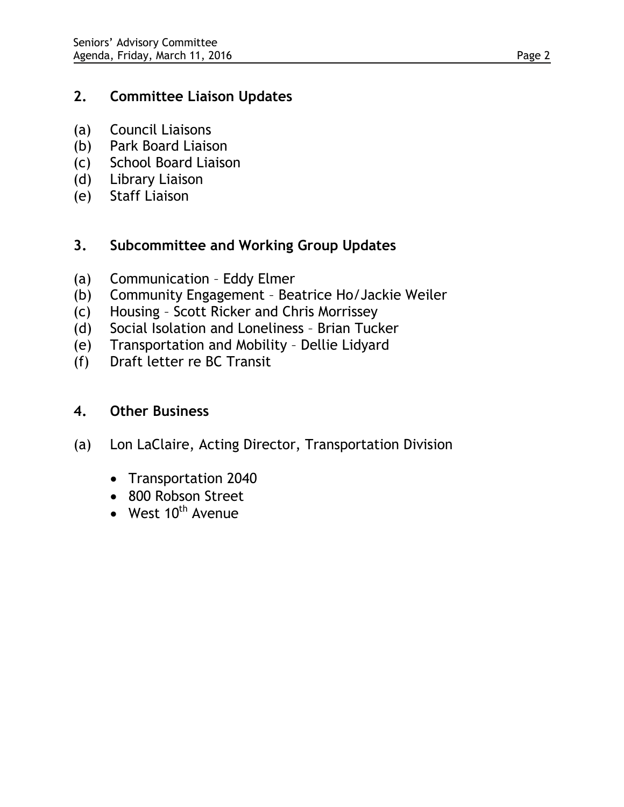### **2. Committee Liaison Updates**

- (a) Council Liaisons
- (b) Park Board Liaison
- (c) School Board Liaison
- (d) Library Liaison
- (e) Staff Liaison

# **3. Subcommittee and Working Group Updates**

- (a) Communication Eddy Elmer
- (b) Community Engagement Beatrice Ho/Jackie Weiler
- (c) Housing Scott Ricker and Chris Morrissey
- (d) Social Isolation and Loneliness Brian Tucker
- (e) Transportation and Mobility Dellie Lidyard
- (f) Draft letter re BC Transit

### **4. Other Business**

- (a) Lon LaClaire, Acting Director, Transportation Division
	- Transportation 2040
	- 800 Robson Street
	- West  $10^{th}$  Avenue